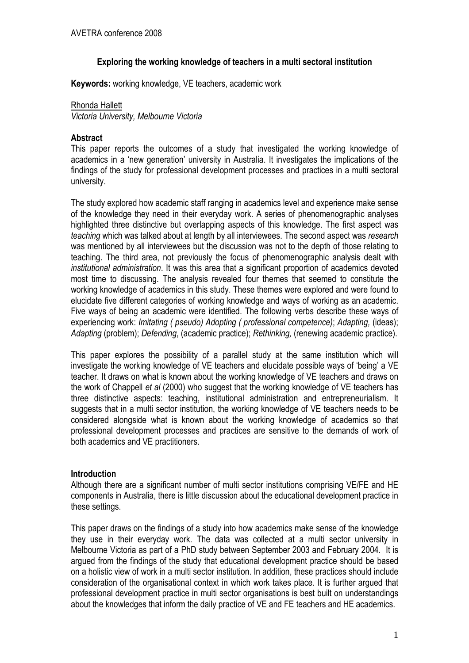## Exploring the working knowledge of teachers in a multi sectoral institution

Keywords: working knowledge, VE teachers, academic work

### Rhonda Hallett

Victoria University, Melbourne Victoria

### Abstract

This paper reports the outcomes of a study that investigated the working knowledge of academics in a 'new generation' university in Australia. It investigates the implications of the findings of the study for professional development processes and practices in a multi sectoral university.

The study explored how academic staff ranging in academics level and experience make sense of the knowledge they need in their everyday work. A series of phenomenographic analyses highlighted three distinctive but overlapping aspects of this knowledge. The first aspect was teaching which was talked about at length by all interviewees. The second aspect was research was mentioned by all interviewees but the discussion was not to the depth of those relating to teaching. The third area, not previously the focus of phenomenographic analysis dealt with institutional administration. It was this area that a significant proportion of academics devoted most time to discussing. The analysis revealed four themes that seemed to constitute the working knowledge of academics in this study. These themes were explored and were found to elucidate five different categories of working knowledge and ways of working as an academic. Five ways of being an academic were identified. The following verbs describe these ways of experiencing work: Imitating ( pseudo) Adopting ( professional competence); Adapting, (ideas); Adapting (problem); Defending, (academic practice); Rethinking, (renewing academic practice).

This paper explores the possibility of a parallel study at the same institution which will investigate the working knowledge of VE teachers and elucidate possible ways of 'being' a VE teacher. It draws on what is known about the working knowledge of VE teachers and draws on the work of Chappell et al (2000) who suggest that the working knowledge of VE teachers has three distinctive aspects: teaching, institutional administration and entrepreneurialism. It suggests that in a multi sector institution, the working knowledge of VE teachers needs to be considered alongside what is known about the working knowledge of academics so that professional development processes and practices are sensitive to the demands of work of both academics and VE practitioners.

## Introduction

Although there are a significant number of multi sector institutions comprising VE/FE and HE components in Australia, there is little discussion about the educational development practice in these settings.

This paper draws on the findings of a study into how academics make sense of the knowledge they use in their everyday work. The data was collected at a multi sector university in Melbourne Victoria as part of a PhD study between September 2003 and February 2004. It is argued from the findings of the study that educational development practice should be based on a holistic view of work in a multi sector institution. In addition, these practices should include consideration of the organisational context in which work takes place. It is further argued that professional development practice in multi sector organisations is best built on understandings about the knowledges that inform the daily practice of VE and FE teachers and HE academics.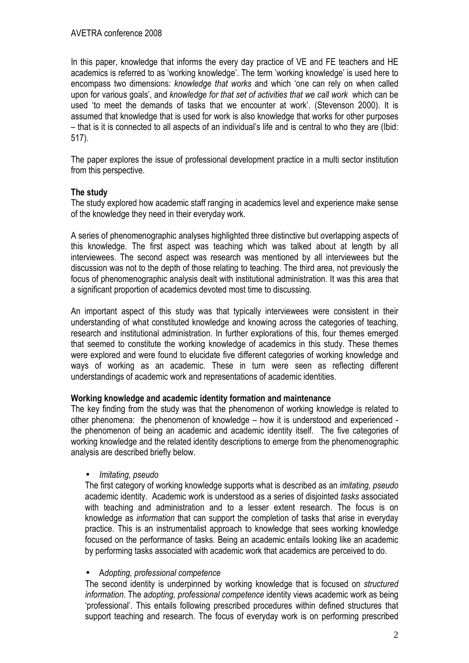In this paper, knowledge that informs the every day practice of VE and FE teachers and HE academics is referred to as 'working knowledge'. The term 'working knowledge' is used here to encompass two dimensions: knowledge that works and which 'one can rely on when called upon for various goals', and knowledge for that set of activities that we call work which can be used 'to meet the demands of tasks that we encounter at work'. (Stevenson 2000). It is assumed that knowledge that is used for work is also knowledge that works for other purposes – that is it is connected to all aspects of an individual's life and is central to who they are (Ibid: 517).

The paper explores the issue of professional development practice in a multi sector institution from this perspective.

# The study

The study explored how academic staff ranging in academics level and experience make sense of the knowledge they need in their everyday work.

A series of phenomenographic analyses highlighted three distinctive but overlapping aspects of this knowledge. The first aspect was teaching which was talked about at length by all interviewees. The second aspect was research was mentioned by all interviewees but the discussion was not to the depth of those relating to teaching. The third area, not previously the focus of phenomenographic analysis dealt with institutional administration. It was this area that a significant proportion of academics devoted most time to discussing.

An important aspect of this study was that typically interviewees were consistent in their understanding of what constituted knowledge and knowing across the categories of teaching, research and institutional administration. In further explorations of this, four themes emerged that seemed to constitute the working knowledge of academics in this study. These themes were explored and were found to elucidate five different categories of working knowledge and ways of working as an academic. These in turn were seen as reflecting different understandings of academic work and representations of academic identities.

## Working knowledge and academic identity formation and maintenance

The key finding from the study was that the phenomenon of working knowledge is related to other phenomena: the phenomenon of knowledge – how it is understood and experienced the phenomenon of being an academic and academic identity itself. The five categories of working knowledge and the related identity descriptions to emerge from the phenomenographic analysis are described briefly below.

• Imitating, pseudo

The first category of working knowledge supports what is described as an imitating, pseudo academic identity. Academic work is understood as a series of disjointed tasks associated with teaching and administration and to a lesser extent research. The focus is on knowledge as information that can support the completion of tasks that arise in everyday practice. This is an instrumentalist approach to knowledge that sees working knowledge focused on the performance of tasks. Being an academic entails looking like an academic by performing tasks associated with academic work that academics are perceived to do.

### • Adopting, professional competence

The second identity is underpinned by working knowledge that is focused on structured information. The adopting, professional competence identity views academic work as being 'professional'. This entails following prescribed procedures within defined structures that support teaching and research. The focus of everyday work is on performing prescribed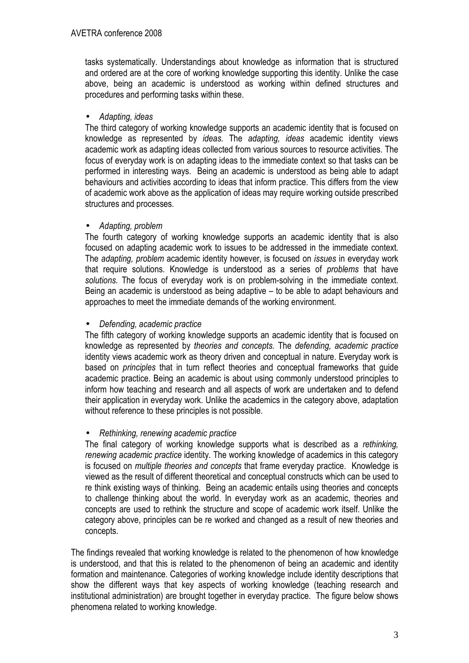tasks systematically. Understandings about knowledge as information that is structured and ordered are at the core of working knowledge supporting this identity. Unlike the case above, being an academic is understood as working within defined structures and procedures and performing tasks within these.

### • Adapting, ideas

The third category of working knowledge supports an academic identity that is focused on knowledge as represented by ideas. The adapting, ideas academic identity views academic work as adapting ideas collected from various sources to resource activities. The focus of everyday work is on adapting ideas to the immediate context so that tasks can be performed in interesting ways. Being an academic is understood as being able to adapt behaviours and activities according to ideas that inform practice. This differs from the view of academic work above as the application of ideas may require working outside prescribed structures and processes.

## • Adapting, problem

The fourth category of working knowledge supports an academic identity that is also focused on adapting academic work to issues to be addressed in the immediate context. The adapting, problem academic identity however, is focused on issues in everyday work that require solutions. Knowledge is understood as a series of problems that have solutions. The focus of everyday work is on problem-solving in the immediate context. Being an academic is understood as being adaptive – to be able to adapt behaviours and approaches to meet the immediate demands of the working environment.

### • Defending, academic practice

The fifth category of working knowledge supports an academic identity that is focused on knowledge as represented by theories and concepts. The defending, academic practice identity views academic work as theory driven and conceptual in nature. Everyday work is based on principles that in turn reflect theories and conceptual frameworks that guide academic practice. Being an academic is about using commonly understood principles to inform how teaching and research and all aspects of work are undertaken and to defend their application in everyday work. Unlike the academics in the category above, adaptation without reference to these principles is not possible.

## • Rethinking, renewing academic practice

The final category of working knowledge supports what is described as a rethinking, renewing academic practice identity. The working knowledge of academics in this category is focused on multiple theories and concepts that frame everyday practice. Knowledge is viewed as the result of different theoretical and conceptual constructs which can be used to re think existing ways of thinking. Being an academic entails using theories and concepts to challenge thinking about the world. In everyday work as an academic, theories and concepts are used to rethink the structure and scope of academic work itself. Unlike the category above, principles can be re worked and changed as a result of new theories and concepts.

The findings revealed that working knowledge is related to the phenomenon of how knowledge is understood, and that this is related to the phenomenon of being an academic and identity formation and maintenance. Categories of working knowledge include identity descriptions that show the different ways that key aspects of working knowledge (teaching research and institutional administration) are brought together in everyday practice. The figure below shows phenomena related to working knowledge.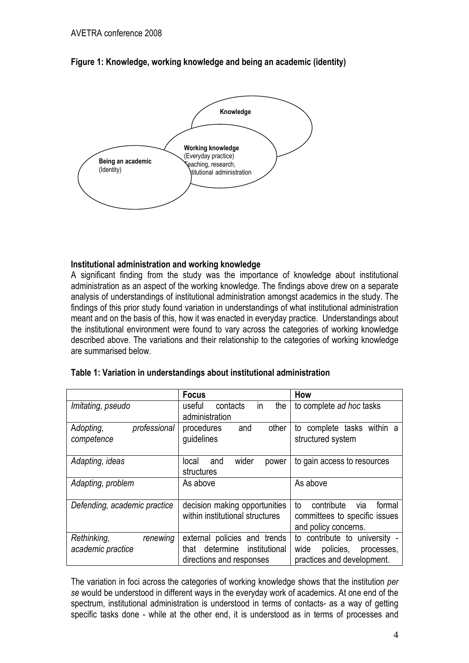

# Figure 1: Knowledge, working knowledge and being an academic (identity)

# Institutional administration and working knowledge

A significant finding from the study was the importance of knowledge about institutional administration as an aspect of the working knowledge. The findings above drew on a separate analysis of understandings of institutional administration amongst academics in the study. The findings of this prior study found variation in understandings of what institutional administration meant and on the basis of this, how it was enacted in everyday practice. Understandings about the institutional environment were found to vary across the categories of working knowledge described above. The variations and their relationship to the categories of working knowledge are summarised below.

|                              | <b>Focus</b>                       | How                               |
|------------------------------|------------------------------------|-----------------------------------|
| Imitating, pseudo            | in<br>contacts<br>useful<br>the    | to complete ad hoc tasks          |
|                              | administration                     |                                   |
| professional<br>Adopting,    | procedures<br>other<br>and         | to complete tasks within a        |
| competence                   | guidelines                         | structured system                 |
|                              |                                    |                                   |
| Adapting, ideas              | wider<br>and<br>local<br>power     | to gain access to resources       |
|                              | structures                         |                                   |
| Adapting, problem            | As above                           | As above                          |
|                              |                                    |                                   |
| Defending, academic practice | decision making opportunities      | via<br>formal<br>contribute<br>to |
|                              | within institutional structures    | committees to specific issues     |
|                              |                                    | and policy concerns.              |
| Rethinking,<br>renewing      | external policies and trends       | to contribute to university -     |
| academic practice            | determine<br>institutional<br>that | policies,<br>wide<br>processes,   |
|                              | directions and responses           | practices and development.        |

The variation in foci across the categories of working knowledge shows that the institution per se would be understood in different ways in the everyday work of academics. At one end of the spectrum, institutional administration is understood in terms of contacts- as a way of getting specific tasks done - while at the other end, it is understood as in terms of processes and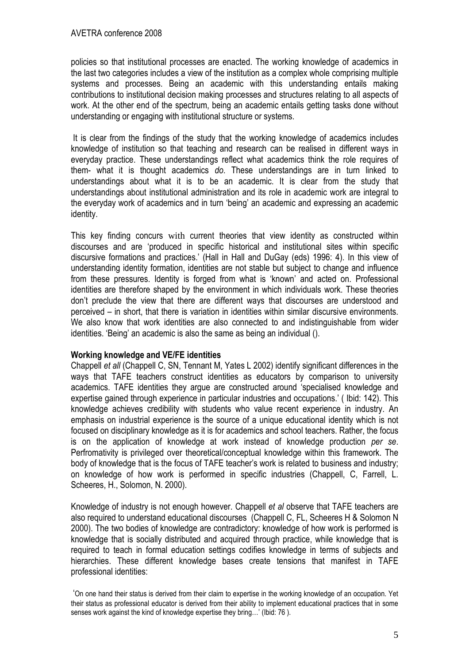policies so that institutional processes are enacted. The working knowledge of academics in the last two categories includes a view of the institution as a complex whole comprising multiple systems and processes. Being an academic with this understanding entails making contributions to institutional decision making processes and structures relating to all aspects of work. At the other end of the spectrum, being an academic entails getting tasks done without understanding or engaging with institutional structure or systems.

 It is clear from the findings of the study that the working knowledge of academics includes knowledge of institution so that teaching and research can be realised in different ways in everyday practice. These understandings reflect what academics think the role requires of them- what it is thought academics do. These understandings are in turn linked to understandings about what it is to be an academic. It is clear from the study that understandings about institutional administration and its role in academic work are integral to the everyday work of academics and in turn 'being' an academic and expressing an academic identity.

This key finding concurs with current theories that view identity as constructed within discourses and are 'produced in specific historical and institutional sites within specific discursive formations and practices.' (Hall in Hall and DuGay (eds) 1996: 4). In this view of understanding identity formation, identities are not stable but subject to change and influence from these pressures. Identity is forged from what is 'known' and acted on. Professional identities are therefore shaped by the environment in which individuals work. These theories don't preclude the view that there are different ways that discourses are understood and perceived – in short, that there is variation in identities within similar discursive environments. We also know that work identities are also connected to and indistinguishable from wider identities. 'Being' an academic is also the same as being an individual ().

## Working knowledge and VE/FE identities

Chappell et all (Chappell C, SN, Tennant M, Yates L 2002) identify significant differences in the ways that TAFE teachers construct identities as educators by comparison to university academics. TAFE identities they argue are constructed around 'specialised knowledge and expertise gained through experience in particular industries and occupations.' ( Ibid: 142). This knowledge achieves credibility with students who value recent experience in industry. An emphasis on industrial experience is the source of a unique educational identity which is not focused on disciplinary knowledge as it is for academics and school teachers. Rather, the focus is on the application of knowledge at work instead of knowledge production per se. Perfromativity is privileged over theoretical/conceptual knowledge within this framework. The body of knowledge that is the focus of TAFE teacher's work is related to business and industry; on knowledge of how work is performed in specific industries (Chappell, C, Farrell, L. Scheeres, H., Solomon, N. 2000).

Knowledge of industry is not enough however. Chappell et al observe that TAFE teachers are also required to understand educational discourses (Chappell C, FL, Scheeres H & Solomon N 2000). The two bodies of knowledge are contradictory: knowledge of how work is performed is knowledge that is socially distributed and acquired through practice, while knowledge that is required to teach in formal education settings codifies knowledge in terms of subjects and hierarchies. These different knowledge bases create tensions that manifest in TAFE professional identities:

 <sup>&#</sup>x27;On one hand their status is derived from their claim to expertise in the working knowledge of an occupation. Yet their status as professional educator is derived from their ability to implement educational practices that in some senses work against the kind of knowledge expertise they bring…' (Ibid: 76 ).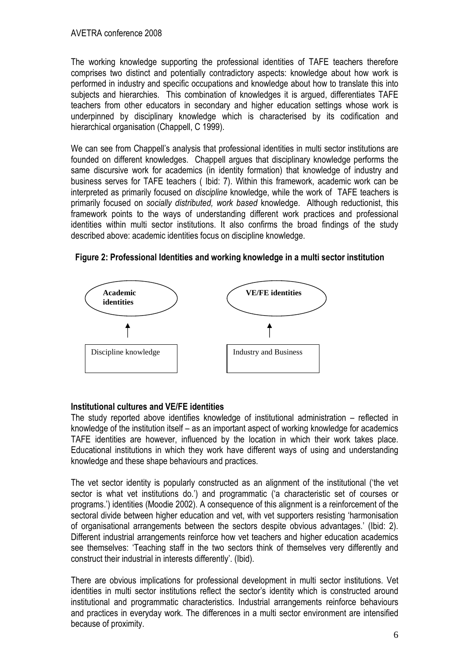The working knowledge supporting the professional identities of TAFE teachers therefore comprises two distinct and potentially contradictory aspects: knowledge about how work is performed in industry and specific occupations and knowledge about how to translate this into subjects and hierarchies. This combination of knowledges it is argued, differentiates TAFE teachers from other educators in secondary and higher education settings whose work is underpinned by disciplinary knowledge which is characterised by its codification and hierarchical organisation (Chappell, C 1999).

We can see from Chappell's analysis that professional identities in multi sector institutions are founded on different knowledges. Chappell argues that disciplinary knowledge performs the same discursive work for academics (in identity formation) that knowledge of industry and business serves for TAFE teachers ( Ibid: 7). Within this framework, academic work can be interpreted as primarily focused on discipline knowledge, while the work of TAFE teachers is primarily focused on socially distributed, work based knowledge. Although reductionist, this framework points to the ways of understanding different work practices and professional identities within multi sector institutions. It also confirms the broad findings of the study described above: academic identities focus on discipline knowledge.





## Institutional cultures and VE/FE identities

The study reported above identifies knowledge of institutional administration – reflected in knowledge of the institution itself – as an important aspect of working knowledge for academics TAFE identities are however, influenced by the location in which their work takes place. Educational institutions in which they work have different ways of using and understanding knowledge and these shape behaviours and practices.

The vet sector identity is popularly constructed as an alignment of the institutional ('the vet sector is what vet institutions do.') and programmatic ('a characteristic set of courses or programs.') identities (Moodie 2002). A consequence of this alignment is a reinforcement of the sectoral divide between higher education and vet, with vet supporters resisting 'harmonisation of organisational arrangements between the sectors despite obvious advantages.' (Ibid: 2). Different industrial arrangements reinforce how vet teachers and higher education academics see themselves: 'Teaching staff in the two sectors think of themselves very differently and construct their industrial in interests differently'. (Ibid).

There are obvious implications for professional development in multi sector institutions. Vet identities in multi sector institutions reflect the sector's identity which is constructed around institutional and programmatic characteristics. Industrial arrangements reinforce behaviours and practices in everyday work. The differences in a multi sector environment are intensified because of proximity.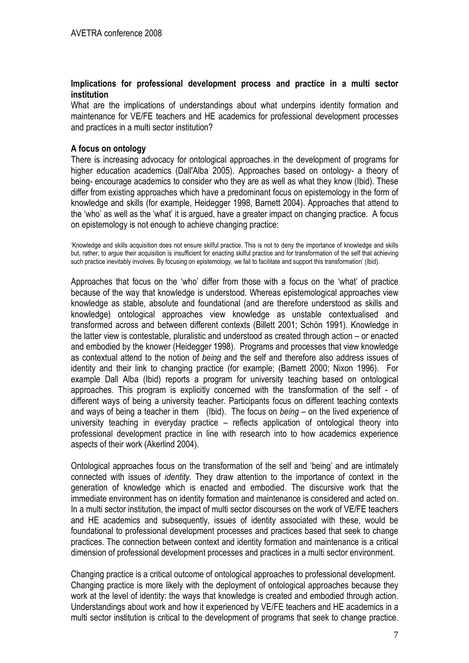## Implications for professional development process and practice in a multi sector institution

What are the implications of understandings about what underpins identity formation and maintenance for VE/FE teachers and HE academics for professional development processes and practices in a multi sector institution?

## A focus on ontology

There is increasing advocacy for ontological approaches in the development of programs for higher education academics (Dall'Alba 2005). Approaches based on ontology- a theory of being- encourage academics to consider who they are as well as what they know (Ibid). These differ from existing approaches which have a predominant focus on epistemology in the form of knowledge and skills (for example, Heidegger 1998, Barnett 2004). Approaches that attend to the 'who' as well as the 'what' it is argued, have a greater impact on changing practice. A focus on epistemology is not enough to achieve changing practice:

'Knowledge and skills acquisition does not ensure skilful practice. This is not to deny the importance of knowledge and skills but, rather, to argue their acquisition is insufficient for enacting skilful practice and for transformation of the self that achieving such practice inevitably involves. By focusing on epistemology, we fail to facilitate and support this transformation' (Ibid).

Approaches that focus on the 'who' differ from those with a focus on the 'what' of practice because of the way that knowledge is understood. Whereas epistemological approaches view knowledge as stable, absolute and foundational (and are therefore understood as skills and knowledge) ontological approaches view knowledge as unstable contextualised and transformed across and between different contexts (Billett 2001; Schön 1991). Knowledge in the latter view is contestable, pluralistic and understood as created through action – or enacted and embodied by the knower (Heidegger 1998). Programs and processes that view knowledge as contextual attend to the notion of being and the self and therefore also address issues of identity and their link to changing practice (for example; (Barnett 2000; Nixon 1996). For example Dall Alba (Ibid) reports a program for university teaching based on ontological approaches. This program is explicitly concerned with the transformation of the self - of different ways of being a university teacher. Participants focus on different teaching contexts and ways of being a teacher in them (Ibid). The focus on  $being - on$  the lived experience of university teaching in everyday practice – reflects application of ontological theory into professional development practice in line with research into to how academics experience aspects of their work (Akerlind 2004).

Ontological approaches focus on the transformation of the self and 'being' and are intimately connected with issues of identity. They draw attention to the importance of context in the generation of knowledge which is enacted and embodied. The discursive work that the immediate environment has on identity formation and maintenance is considered and acted on. In a multi sector institution, the impact of multi sector discourses on the work of VE/FE teachers and HE academics and subsequently, issues of identity associated with these, would be foundational to professional development processes and practices based that seek to change practices. The connection between context and identity formation and maintenance is a critical dimension of professional development processes and practices in a multi sector environment.

Changing practice is a critical outcome of ontological approaches to professional development. Changing practice is more likely with the deployment of ontological approaches because they work at the level of identity: the ways that knowledge is created and embodied through action. Understandings about work and how it experienced by VE/FE teachers and HE academics in a multi sector institution is critical to the development of programs that seek to change practice.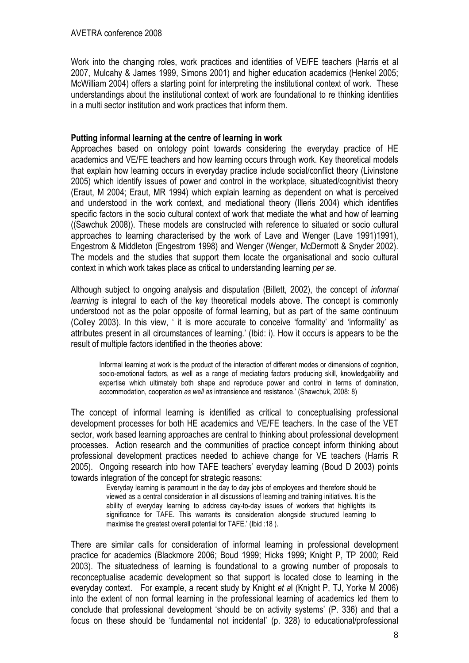Work into the changing roles, work practices and identities of VE/FE teachers (Harris et al 2007, Mulcahy & James 1999, Simons 2001) and higher education academics (Henkel 2005; McWilliam 2004) offers a starting point for interpreting the institutional context of work. These understandings about the institutional context of work are foundational to re thinking identities in a multi sector institution and work practices that inform them.

## Putting informal learning at the centre of learning in work

Approaches based on ontology point towards considering the everyday practice of HE academics and VE/FE teachers and how learning occurs through work. Key theoretical models that explain how learning occurs in everyday practice include social/conflict theory (Livinstone 2005) which identify issues of power and control in the workplace, situated/cognitivist theory (Eraut, M 2004; Eraut, MR 1994) which explain learning as dependent on what is perceived and understood in the work context, and mediational theory (Illeris 2004) which identifies specific factors in the socio cultural context of work that mediate the what and how of learning ((Sawchuk 2008)). These models are constructed with reference to situated or socio cultural approaches to learning characterised by the work of Lave and Wenger (Lave 1991)1991), Engestrom & Middleton (Engestrom 1998) and Wenger (Wenger, McDermott & Snyder 2002). The models and the studies that support them locate the organisational and socio cultural context in which work takes place as critical to understanding learning per se.

Although subject to ongoing analysis and disputation (Billett, 2002), the concept of informal learning is integral to each of the key theoretical models above. The concept is commonly understood not as the polar opposite of formal learning, but as part of the same continuum (Colley 2003). In this view, ' it is more accurate to conceive 'formality' and 'informality' as attributes present in all circumstances of learning.' (Ibid: i). How it occurs is appears to be the result of multiple factors identified in the theories above:

Informal learning at work is the product of the interaction of different modes or dimensions of cognition, socio-emotional factors, as well as a range of mediating factors producing skill, knowledgability and expertise which ultimately both shape and reproduce power and control in terms of domination, accommodation, cooperation as well as intransience and resistance.' (Shawchuk, 2008: 8)

The concept of informal learning is identified as critical to conceptualising professional development processes for both HE academics and VE/FE teachers. In the case of the VET sector, work based learning approaches are central to thinking about professional development processes. Action research and the communities of practice concept inform thinking about professional development practices needed to achieve change for VE teachers (Harris R 2005). Ongoing research into how TAFE teachers' everyday learning (Boud D 2003) points towards integration of the concept for strategic reasons:

> Everyday learning is paramount in the day to day jobs of employees and therefore should be viewed as a central consideration in all discussions of learning and training initiatives. It is the ability of everyday learning to address day-to-day issues of workers that highlights its significance for TAFE. This warrants its consideration alongside structured learning to maximise the greatest overall potential for TAFE.' (Ibid :18 ).

There are similar calls for consideration of informal learning in professional development practice for academics (Blackmore 2006; Boud 1999; Hicks 1999; Knight P, TP 2000; Reid 2003). The situatedness of learning is foundational to a growing number of proposals to reconceptualise academic development so that support is located close to learning in the everyday context. For example, a recent study by Knight et al (Knight P, TJ, Yorke M 2006) into the extent of non formal learning in the professional learning of academics led them to conclude that professional development 'should be on activity systems' (P. 336) and that a focus on these should be 'fundamental not incidental' (p. 328) to educational/professional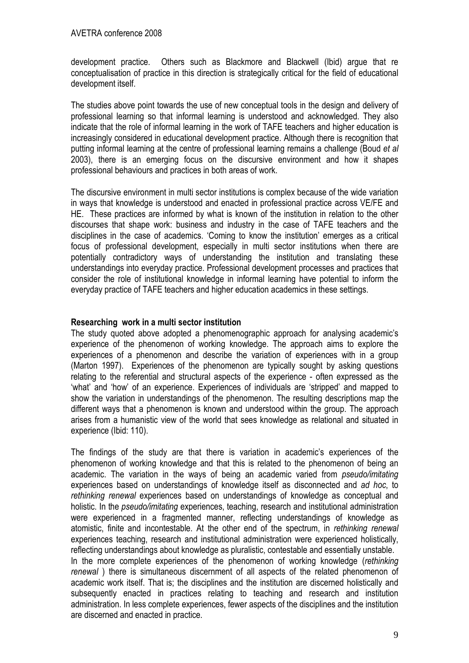development practice. Others such as Blackmore and Blackwell (Ibid) argue that re conceptualisation of practice in this direction is strategically critical for the field of educational development itself.

The studies above point towards the use of new conceptual tools in the design and delivery of professional learning so that informal learning is understood and acknowledged. They also indicate that the role of informal learning in the work of TAFE teachers and higher education is increasingly considered in educational development practice. Although there is recognition that putting informal learning at the centre of professional learning remains a challenge (Boud et al 2003), there is an emerging focus on the discursive environment and how it shapes professional behaviours and practices in both areas of work.

The discursive environment in multi sector institutions is complex because of the wide variation in ways that knowledge is understood and enacted in professional practice across VE/FE and HE. These practices are informed by what is known of the institution in relation to the other discourses that shape work: business and industry in the case of TAFE teachers and the disciplines in the case of academics. 'Coming to know the institution' emerges as a critical focus of professional development, especially in multi sector institutions when there are potentially contradictory ways of understanding the institution and translating these understandings into everyday practice. Professional development processes and practices that consider the role of institutional knowledge in informal learning have potential to inform the everyday practice of TAFE teachers and higher education academics in these settings.

## Researching work in a multi sector institution

The study quoted above adopted a phenomenographic approach for analysing academic's experience of the phenomenon of working knowledge. The approach aims to explore the experiences of a phenomenon and describe the variation of experiences with in a group (Marton 1997). Experiences of the phenomenon are typically sought by asking questions relating to the referential and structural aspects of the experience - often expressed as the 'what' and 'how' of an experience. Experiences of individuals are 'stripped' and mapped to show the variation in understandings of the phenomenon. The resulting descriptions map the different ways that a phenomenon is known and understood within the group. The approach arises from a humanistic view of the world that sees knowledge as relational and situated in experience (Ibid: 110).

The findings of the study are that there is variation in academic's experiences of the phenomenon of working knowledge and that this is related to the phenomenon of being an academic. The variation in the ways of being an academic varied from *pseudo/imitating* experiences based on understandings of knowledge itself as disconnected and ad hoc, to rethinking renewal experiences based on understandings of knowledge as conceptual and holistic. In the *pseudo/imitating* experiences, teaching, research and institutional administration were experienced in a fragmented manner, reflecting understandings of knowledge as atomistic, finite and incontestable. At the other end of the spectrum, in rethinking renewal experiences teaching, research and institutional administration were experienced holistically, reflecting understandings about knowledge as pluralistic, contestable and essentially unstable. In the more complete experiences of the phenomenon of working knowledge (rethinking renewal ) there is simultaneous discernment of all aspects of the related phenomenon of academic work itself. That is; the disciplines and the institution are discerned holistically and subsequently enacted in practices relating to teaching and research and institution administration. In less complete experiences, fewer aspects of the disciplines and the institution are discerned and enacted in practice.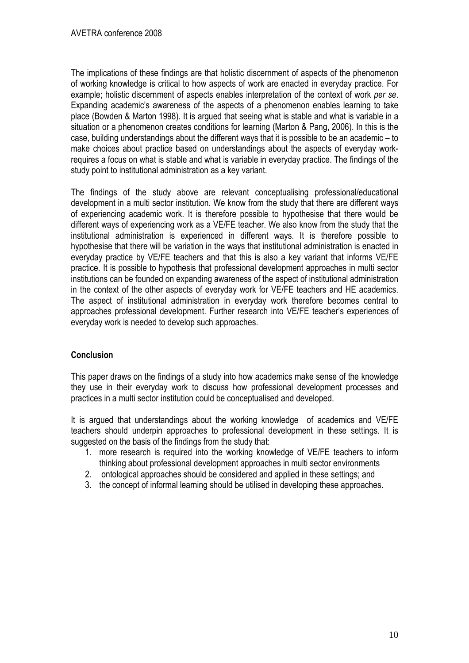The implications of these findings are that holistic discernment of aspects of the phenomenon of working knowledge is critical to how aspects of work are enacted in everyday practice. For example; holistic discernment of aspects enables interpretation of the context of work per se. Expanding academic's awareness of the aspects of a phenomenon enables learning to take place (Bowden & Marton 1998). It is argued that seeing what is stable and what is variable in a situation or a phenomenon creates conditions for learning (Marton & Pang, 2006). In this is the case, building understandings about the different ways that it is possible to be an academic – to make choices about practice based on understandings about the aspects of everyday workrequires a focus on what is stable and what is variable in everyday practice. The findings of the study point to institutional administration as a key variant.

The findings of the study above are relevant conceptualising professional/educational development in a multi sector institution. We know from the study that there are different ways of experiencing academic work. It is therefore possible to hypothesise that there would be different ways of experiencing work as a VE/FE teacher. We also know from the study that the institutional administration is experienced in different ways. It is therefore possible to hypothesise that there will be variation in the ways that institutional administration is enacted in everyday practice by VE/FE teachers and that this is also a key variant that informs VE/FE practice. It is possible to hypothesis that professional development approaches in multi sector institutions can be founded on expanding awareness of the aspect of institutional administration in the context of the other aspects of everyday work for VE/FE teachers and HE academics. The aspect of institutional administration in everyday work therefore becomes central to approaches professional development. Further research into VE/FE teacher's experiences of everyday work is needed to develop such approaches.

# **Conclusion**

This paper draws on the findings of a study into how academics make sense of the knowledge they use in their everyday work to discuss how professional development processes and practices in a multi sector institution could be conceptualised and developed.

It is argued that understandings about the working knowledge of academics and VE/FE teachers should underpin approaches to professional development in these settings. It is suggested on the basis of the findings from the study that:

- 1. more research is required into the working knowledge of VE/FE teachers to inform thinking about professional development approaches in multi sector environments
- 2. ontological approaches should be considered and applied in these settings; and
- 3. the concept of informal learning should be utilised in developing these approaches.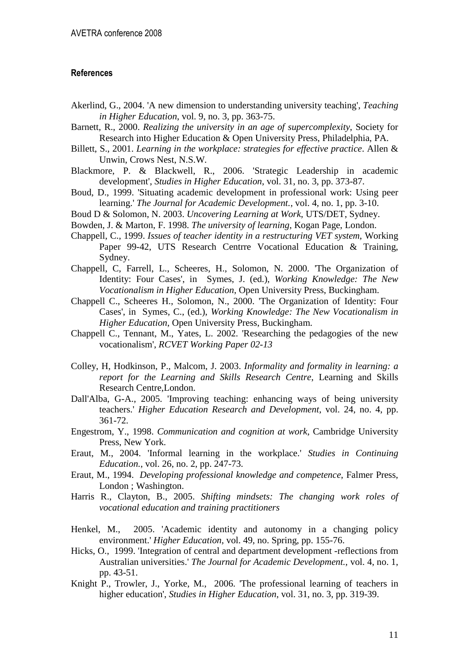### References

- Akerlind, G., 2004. 'A new dimension to understanding university teaching', *Teaching in Higher Education*, vol. 9, no. 3, pp. 363-75.
- Barnett, R., 2000. *Realizing the university in an age of supercomplexity*, Society for Research into Higher Education & Open University Press, Philadelphia, PA.
- Billett, S., 2001. *Learning in the workplace: strategies for effective practice*. Allen & Unwin, Crows Nest, N.S.W.
- Blackmore, P. & Blackwell, R., 2006. 'Strategic Leadership in academic development', *Studies in Higher Education*, vol. 31, no. 3, pp. 373-87.
- Boud, D., 1999. 'Situating academic development in professional work: Using peer learning.' *The Journal for Academic Development.*, vol. 4, no. 1, pp. 3-10.
- Boud D & Solomon, N. 2003. *Uncovering Learning at Work*, UTS/DET, Sydney.
- Bowden, J. & Marton, F. 1998. *The university of learning*, Kogan Page, London.
- Chappell, C., 1999. *Issues of teacher identity in a restructuring VET system*, Working Paper 99-42, UTS Research Centrre Vocational Education & Training, Sydney.
- Chappell, C, Farrell, L., Scheeres, H., Solomon, N. 2000. 'The Organization of Identity: Four Cases', in Symes, J. (ed.), *Working Knowledge: The New Vocationalism in Higher Education*, Open University Press, Buckingham.
- Chappell C., Scheeres H., Solomon, N., 2000. 'The Organization of Identity: Four Cases', in Symes, C., (ed.), *Working Knowledge: The New Vocationalism in Higher Education*, Open University Press, Buckingham.
- Chappell C., Tennant, M., Yates, L. 2002. 'Researching the pedagogies of the new vocationalism', *RCVET Working Paper 02-13*
- Colley, H, Hodkinson, P., Malcom, J. 2003. *Informality and formality in learning: a report for the Learning and Skills Research Centre*, Learning and Skills Research Centre,London.
- Dall'Alba, G-A., 2005. 'Improving teaching: enhancing ways of being university teachers.' *Higher Education Research and Development*, vol. 24, no. 4, pp. 361-72.
- Engestrom, Y., 1998. *Communication and cognition at work*, Cambridge University Press, New York.
- Eraut, M., 2004. 'Informal learning in the workplace.' *Studies in Continuing Education.*, vol. 26, no. 2, pp. 247-73.
- Eraut, M., 1994. *Developing professional knowledge and competence*, Falmer Press, London ; Washington.
- Harris R., Clayton, B., 2005. *Shifting mindsets: The changing work roles of vocational education and training practitioners*
- Henkel, M., 2005. 'Academic identity and autonomy in a changing policy environment.' *Higher Education*, vol. 49, no. Spring, pp. 155-76.
- Hicks, O., 1999. 'Integration of central and department development -reflections from Australian universities.' *The Journal for Academic Development.*, vol. 4, no. 1, pp. 43-51.
- Knight P., Trowler, J., Yorke, M., 2006. 'The professional learning of teachers in higher education', *Studies in Higher Education*, vol. 31, no. 3, pp. 319-39.